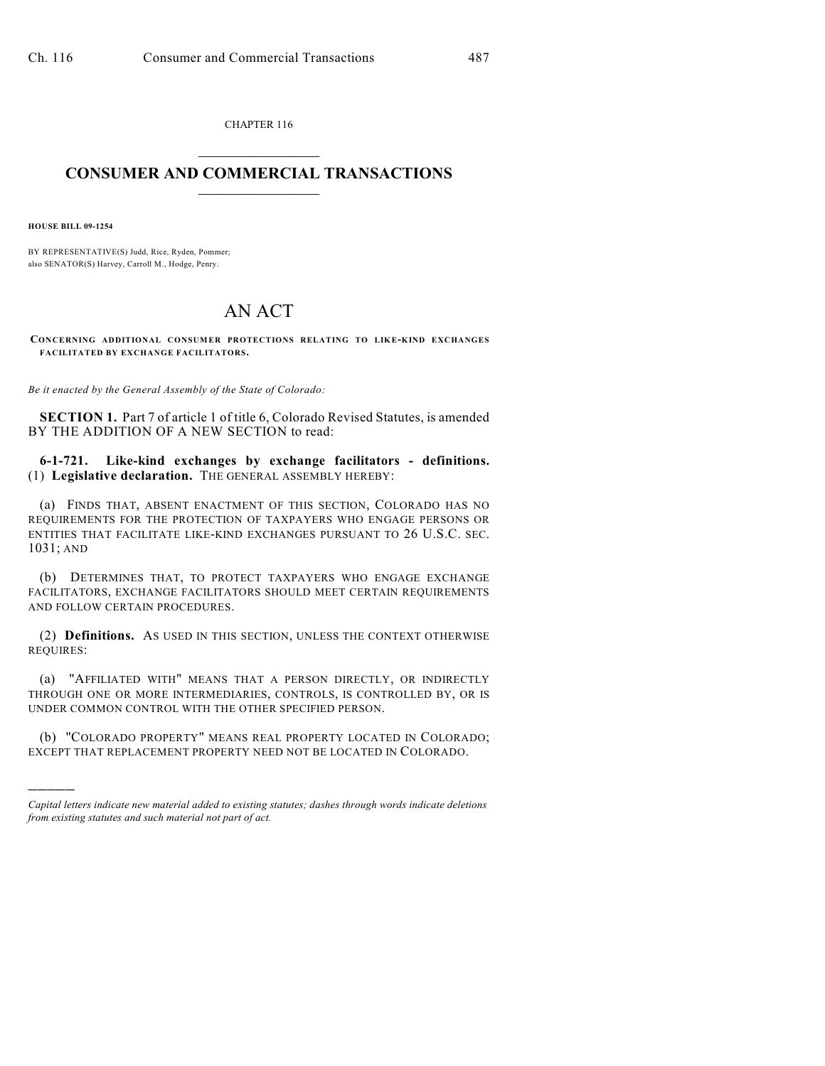CHAPTER 116  $\overline{\phantom{a}}$  . The set of the set of the set of the set of the set of the set of the set of the set of the set of the set of the set of the set of the set of the set of the set of the set of the set of the set of the set o

## **CONSUMER AND COMMERCIAL TRANSACTIONS**  $\frac{1}{2}$  ,  $\frac{1}{2}$  ,  $\frac{1}{2}$  ,  $\frac{1}{2}$  ,  $\frac{1}{2}$  ,  $\frac{1}{2}$

**HOUSE BILL 09-1254**

)))))

BY REPRESENTATIVE(S) Judd, Rice, Ryden, Pommer; also SENATOR(S) Harvey, Carroll M., Hodge, Penry.

## AN ACT

**CON CERNING ADDITIONAL CONSUMER PROTECTIONS RELATING TO LIK E-KIND EXCHANGES FACILITATED BY EXCHANGE FACILITATORS.**

*Be it enacted by the General Assembly of the State of Colorado:*

**SECTION 1.** Part 7 of article 1 of title 6, Colorado Revised Statutes, is amended BY THE ADDITION OF A NEW SECTION to read:

**6-1-721. Like-kind exchanges by exchange facilitators - definitions.** (1) **Legislative declaration.** THE GENERAL ASSEMBLY HEREBY:

(a) FINDS THAT, ABSENT ENACTMENT OF THIS SECTION, COLORADO HAS NO REQUIREMENTS FOR THE PROTECTION OF TAXPAYERS WHO ENGAGE PERSONS OR ENTITIES THAT FACILITATE LIKE-KIND EXCHANGES PURSUANT TO 26 U.S.C. SEC. 1031; AND

(b) DETERMINES THAT, TO PROTECT TAXPAYERS WHO ENGAGE EXCHANGE FACILITATORS, EXCHANGE FACILITATORS SHOULD MEET CERTAIN REQUIREMENTS AND FOLLOW CERTAIN PROCEDURES.

(2) **Definitions.** AS USED IN THIS SECTION, UNLESS THE CONTEXT OTHERWISE REQUIRES:

(a) "AFFILIATED WITH" MEANS THAT A PERSON DIRECTLY, OR INDIRECTLY THROUGH ONE OR MORE INTERMEDIARIES, CONTROLS, IS CONTROLLED BY, OR IS UNDER COMMON CONTROL WITH THE OTHER SPECIFIED PERSON.

(b) "COLORADO PROPERTY" MEANS REAL PROPERTY LOCATED IN COLORADO; EXCEPT THAT REPLACEMENT PROPERTY NEED NOT BE LOCATED IN COLORADO.

*Capital letters indicate new material added to existing statutes; dashes through words indicate deletions from existing statutes and such material not part of act.*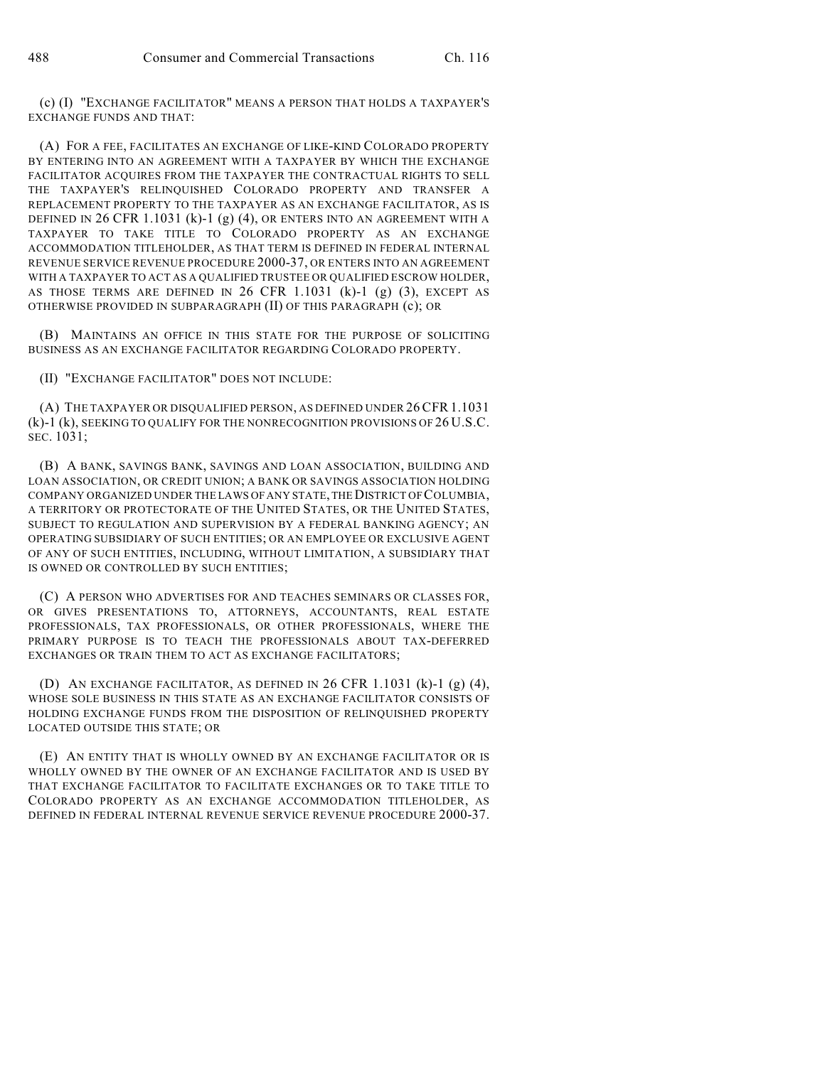(c) (I) "EXCHANGE FACILITATOR" MEANS A PERSON THAT HOLDS A TAXPAYER'S EXCHANGE FUNDS AND THAT:

(A) FOR A FEE, FACILITATES AN EXCHANGE OF LIKE-KIND COLORADO PROPERTY BY ENTERING INTO AN AGREEMENT WITH A TAXPAYER BY WHICH THE EXCHANGE FACILITATOR ACQUIRES FROM THE TAXPAYER THE CONTRACTUAL RIGHTS TO SELL THE TAXPAYER'S RELINQUISHED COLORADO PROPERTY AND TRANSFER A REPLACEMENT PROPERTY TO THE TAXPAYER AS AN EXCHANGE FACILITATOR, AS IS DEFINED IN 26 CFR 1.1031 (k)-1 (g) (4), OR ENTERS INTO AN AGREEMENT WITH A TAXPAYER TO TAKE TITLE TO COLORADO PROPERTY AS AN EXCHANGE ACCOMMODATION TITLEHOLDER, AS THAT TERM IS DEFINED IN FEDERAL INTERNAL REVENUE SERVICE REVENUE PROCEDURE 2000-37, OR ENTERS INTO AN AGREEMENT WITH A TAXPAYER TO ACT AS A QUALIFIED TRUSTEE OR QUALIFIED ESCROW HOLDER, AS THOSE TERMS ARE DEFINED IN 26 CFR 1.1031  $(k)-1$  (g) (3), EXCEPT AS OTHERWISE PROVIDED IN SUBPARAGRAPH (II) OF THIS PARAGRAPH (c); OR

(B) MAINTAINS AN OFFICE IN THIS STATE FOR THE PURPOSE OF SOLICITING BUSINESS AS AN EXCHANGE FACILITATOR REGARDING COLORADO PROPERTY.

(II) "EXCHANGE FACILITATOR" DOES NOT INCLUDE:

(A) THE TAXPAYER OR DISQUALIFIED PERSON, AS DEFINED UNDER 26CFR 1.1031 (k)-1 (k), SEEKING TO QUALIFY FOR THE NONRECOGNITION PROVISIONS OF 26 U.S.C. SEC. 1031;

(B) A BANK, SAVINGS BANK, SAVINGS AND LOAN ASSOCIATION, BUILDING AND LOAN ASSOCIATION, OR CREDIT UNION; A BANK OR SAVINGS ASSOCIATION HOLDING COMPANY ORGANIZED UNDER THE LAWS OF ANY STATE, THE DISTRICT OF COLUMBIA, A TERRITORY OR PROTECTORATE OF THE UNITED STATES, OR THE UNITED STATES, SUBJECT TO REGULATION AND SUPERVISION BY A FEDERAL BANKING AGENCY; AN OPERATING SUBSIDIARY OF SUCH ENTITIES; OR AN EMPLOYEE OR EXCLUSIVE AGENT OF ANY OF SUCH ENTITIES, INCLUDING, WITHOUT LIMITATION, A SUBSIDIARY THAT IS OWNED OR CONTROLLED BY SUCH ENTITIES;

(C) A PERSON WHO ADVERTISES FOR AND TEACHES SEMINARS OR CLASSES FOR, OR GIVES PRESENTATIONS TO, ATTORNEYS, ACCOUNTANTS, REAL ESTATE PROFESSIONALS, TAX PROFESSIONALS, OR OTHER PROFESSIONALS, WHERE THE PRIMARY PURPOSE IS TO TEACH THE PROFESSIONALS ABOUT TAX-DEFERRED EXCHANGES OR TRAIN THEM TO ACT AS EXCHANGE FACILITATORS;

(D) AN EXCHANGE FACILITATOR, AS DEFINED IN 26 CFR 1.1031 (k)-1 (g) (4), WHOSE SOLE BUSINESS IN THIS STATE AS AN EXCHANGE FACILITATOR CONSISTS OF HOLDING EXCHANGE FUNDS FROM THE DISPOSITION OF RELINQUISHED PROPERTY LOCATED OUTSIDE THIS STATE; OR

(E) AN ENTITY THAT IS WHOLLY OWNED BY AN EXCHANGE FACILITATOR OR IS WHOLLY OWNED BY THE OWNER OF AN EXCHANGE FACILITATOR AND IS USED BY THAT EXCHANGE FACILITATOR TO FACILITATE EXCHANGES OR TO TAKE TITLE TO COLORADO PROPERTY AS AN EXCHANGE ACCOMMODATION TITLEHOLDER, AS DEFINED IN FEDERAL INTERNAL REVENUE SERVICE REVENUE PROCEDURE 2000-37.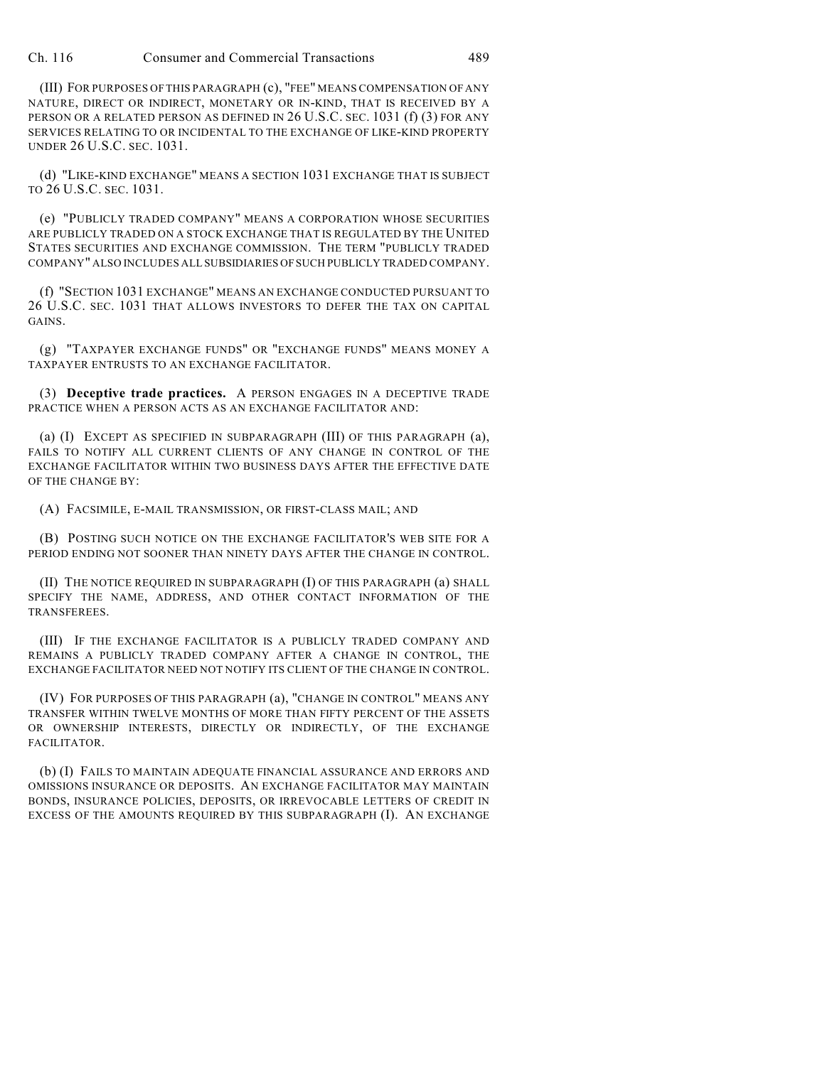Ch. 116 Consumer and Commercial Transactions 489

(III) FOR PURPOSES OF THIS PARAGRAPH (c), "FEE" MEANS COMPENSATION OF ANY NATURE, DIRECT OR INDIRECT, MONETARY OR IN-KIND, THAT IS RECEIVED BY A PERSON OR A RELATED PERSON AS DEFINED IN 26 U.S.C. SEC. 1031 (f) (3) FOR ANY SERVICES RELATING TO OR INCIDENTAL TO THE EXCHANGE OF LIKE-KIND PROPERTY UNDER 26 U.S.C. SEC. 1031.

(d) "LIKE-KIND EXCHANGE" MEANS A SECTION 1031 EXCHANGE THAT IS SUBJECT TO 26 U.S.C. SEC. 1031.

(e) "PUBLICLY TRADED COMPANY" MEANS A CORPORATION WHOSE SECURITIES ARE PUBLICLY TRADED ON A STOCK EXCHANGE THAT IS REGULATED BY THE UNITED STATES SECURITIES AND EXCHANGE COMMISSION. THE TERM "PUBLICLY TRADED COMPANY" ALSO INCLUDES ALL SUBSIDIARIES OF SUCH PUBLICLY TRADED COMPANY.

(f) "SECTION 1031 EXCHANGE" MEANS AN EXCHANGE CONDUCTED PURSUANT TO 26 U.S.C. SEC. 1031 THAT ALLOWS INVESTORS TO DEFER THE TAX ON CAPITAL GAINS.

(g) "TAXPAYER EXCHANGE FUNDS" OR "EXCHANGE FUNDS" MEANS MONEY A TAXPAYER ENTRUSTS TO AN EXCHANGE FACILITATOR.

(3) **Deceptive trade practices.** A PERSON ENGAGES IN A DECEPTIVE TRADE PRACTICE WHEN A PERSON ACTS AS AN EXCHANGE FACILITATOR AND:

(a) (I) EXCEPT AS SPECIFIED IN SUBPARAGRAPH (III) OF THIS PARAGRAPH (a), FAILS TO NOTIFY ALL CURRENT CLIENTS OF ANY CHANGE IN CONTROL OF THE EXCHANGE FACILITATOR WITHIN TWO BUSINESS DAYS AFTER THE EFFECTIVE DATE OF THE CHANGE BY:

(A) FACSIMILE, E-MAIL TRANSMISSION, OR FIRST-CLASS MAIL; AND

(B) POSTING SUCH NOTICE ON THE EXCHANGE FACILITATOR'S WEB SITE FOR A PERIOD ENDING NOT SOONER THAN NINETY DAYS AFTER THE CHANGE IN CONTROL.

(II) THE NOTICE REQUIRED IN SUBPARAGRAPH (I) OF THIS PARAGRAPH (a) SHALL SPECIFY THE NAME, ADDRESS, AND OTHER CONTACT INFORMATION OF THE TRANSFEREES.

(III) IF THE EXCHANGE FACILITATOR IS A PUBLICLY TRADED COMPANY AND REMAINS A PUBLICLY TRADED COMPANY AFTER A CHANGE IN CONTROL, THE EXCHANGE FACILITATOR NEED NOT NOTIFY ITS CLIENT OF THE CHANGE IN CONTROL.

(IV) FOR PURPOSES OF THIS PARAGRAPH (a), "CHANGE IN CONTROL" MEANS ANY TRANSFER WITHIN TWELVE MONTHS OF MORE THAN FIFTY PERCENT OF THE ASSETS OR OWNERSHIP INTERESTS, DIRECTLY OR INDIRECTLY, OF THE EXCHANGE FACILITATOR.

(b) (I) FAILS TO MAINTAIN ADEQUATE FINANCIAL ASSURANCE AND ERRORS AND OMISSIONS INSURANCE OR DEPOSITS. AN EXCHANGE FACILITATOR MAY MAINTAIN BONDS, INSURANCE POLICIES, DEPOSITS, OR IRREVOCABLE LETTERS OF CREDIT IN EXCESS OF THE AMOUNTS REQUIRED BY THIS SUBPARAGRAPH (I). AN EXCHANGE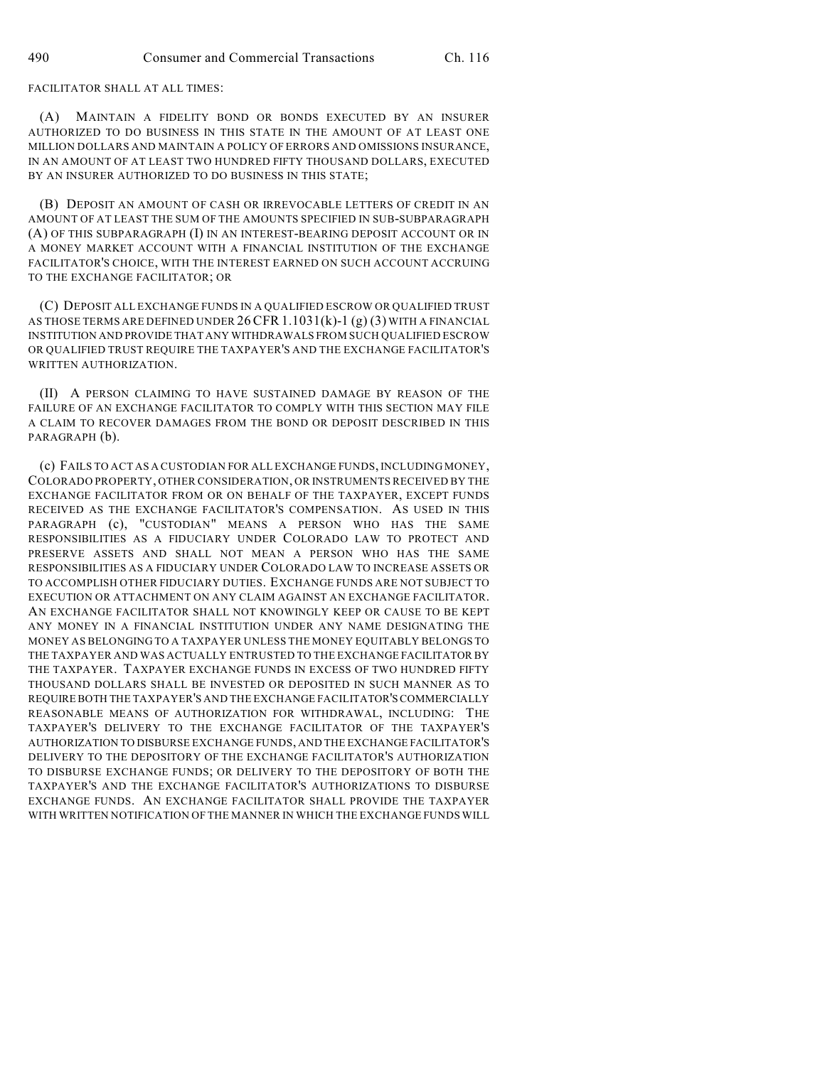FACILITATOR SHALL AT ALL TIMES:

(A) MAINTAIN A FIDELITY BOND OR BONDS EXECUTED BY AN INSURER AUTHORIZED TO DO BUSINESS IN THIS STATE IN THE AMOUNT OF AT LEAST ONE MILLION DOLLARS AND MAINTAIN A POLICY OF ERRORS AND OMISSIONS INSURANCE, IN AN AMOUNT OF AT LEAST TWO HUNDRED FIFTY THOUSAND DOLLARS, EXECUTED BY AN INSURER AUTHORIZED TO DO BUSINESS IN THIS STATE;

(B) DEPOSIT AN AMOUNT OF CASH OR IRREVOCABLE LETTERS OF CREDIT IN AN AMOUNT OF AT LEAST THE SUM OF THE AMOUNTS SPECIFIED IN SUB-SUBPARAGRAPH (A) OF THIS SUBPARAGRAPH (I) IN AN INTEREST-BEARING DEPOSIT ACCOUNT OR IN A MONEY MARKET ACCOUNT WITH A FINANCIAL INSTITUTION OF THE EXCHANGE FACILITATOR'S CHOICE, WITH THE INTEREST EARNED ON SUCH ACCOUNT ACCRUING TO THE EXCHANGE FACILITATOR; OR

(C) DEPOSIT ALL EXCHANGE FUNDS IN A QUALIFIED ESCROW OR QUALIFIED TRUST AS THOSE TERMS ARE DEFINED UNDER  $26$  CFR 1.1031(k)-1 (g) (3) WITH A FINANCIAL INSTITUTION AND PROVIDE THAT ANY WITHDRAWALS FROM SUCH QUALIFIED ESCROW OR QUALIFIED TRUST REQUIRE THE TAXPAYER'S AND THE EXCHANGE FACILITATOR'S WRITTEN AUTHORIZATION.

(II) A PERSON CLAIMING TO HAVE SUSTAINED DAMAGE BY REASON OF THE FAILURE OF AN EXCHANGE FACILITATOR TO COMPLY WITH THIS SECTION MAY FILE A CLAIM TO RECOVER DAMAGES FROM THE BOND OR DEPOSIT DESCRIBED IN THIS PARAGRAPH (b).

(c) FAILS TO ACT AS A CUSTODIAN FOR ALL EXCHANGE FUNDS, INCLUDING MONEY, COLORADO PROPERTY, OTHER CONSIDERATION, OR INSTRUMENTS RECEIVED BY THE EXCHANGE FACILITATOR FROM OR ON BEHALF OF THE TAXPAYER, EXCEPT FUNDS RECEIVED AS THE EXCHANGE FACILITATOR'S COMPENSATION. AS USED IN THIS PARAGRAPH (c), "CUSTODIAN" MEANS A PERSON WHO HAS THE SAME RESPONSIBILITIES AS A FIDUCIARY UNDER COLORADO LAW TO PROTECT AND PRESERVE ASSETS AND SHALL NOT MEAN A PERSON WHO HAS THE SAME RESPONSIBILITIES AS A FIDUCIARY UNDER COLORADO LAW TO INCREASE ASSETS OR TO ACCOMPLISH OTHER FIDUCIARY DUTIES. EXCHANGE FUNDS ARE NOT SUBJECT TO EXECUTION OR ATTACHMENT ON ANY CLAIM AGAINST AN EXCHANGE FACILITATOR. AN EXCHANGE FACILITATOR SHALL NOT KNOWINGLY KEEP OR CAUSE TO BE KEPT ANY MONEY IN A FINANCIAL INSTITUTION UNDER ANY NAME DESIGNATING THE MONEY AS BELONGING TO A TAXPAYER UNLESS THE MONEY EQUITABLY BELONGS TO THE TAXPAYER AND WAS ACTUALLY ENTRUSTED TO THE EXCHANGE FACILITATOR BY THE TAXPAYER. TAXPAYER EXCHANGE FUNDS IN EXCESS OF TWO HUNDRED FIFTY THOUSAND DOLLARS SHALL BE INVESTED OR DEPOSITED IN SUCH MANNER AS TO REQUIRE BOTH THE TAXPAYER'S AND THE EXCHANGE FACILITATOR'S COMMERCIALLY REASONABLE MEANS OF AUTHORIZATION FOR WITHDRAWAL, INCLUDING: THE TAXPAYER'S DELIVERY TO THE EXCHANGE FACILITATOR OF THE TAXPAYER'S AUTHORIZATION TO DISBURSE EXCHANGE FUNDS, AND THE EXCHANGE FACILITATOR'S DELIVERY TO THE DEPOSITORY OF THE EXCHANGE FACILITATOR'S AUTHORIZATION TO DISBURSE EXCHANGE FUNDS; OR DELIVERY TO THE DEPOSITORY OF BOTH THE TAXPAYER'S AND THE EXCHANGE FACILITATOR'S AUTHORIZATIONS TO DISBURSE EXCHANGE FUNDS. AN EXCHANGE FACILITATOR SHALL PROVIDE THE TAXPAYER WITH WRITTEN NOTIFICATION OF THE MANNER IN WHICH THE EXCHANGE FUNDS WILL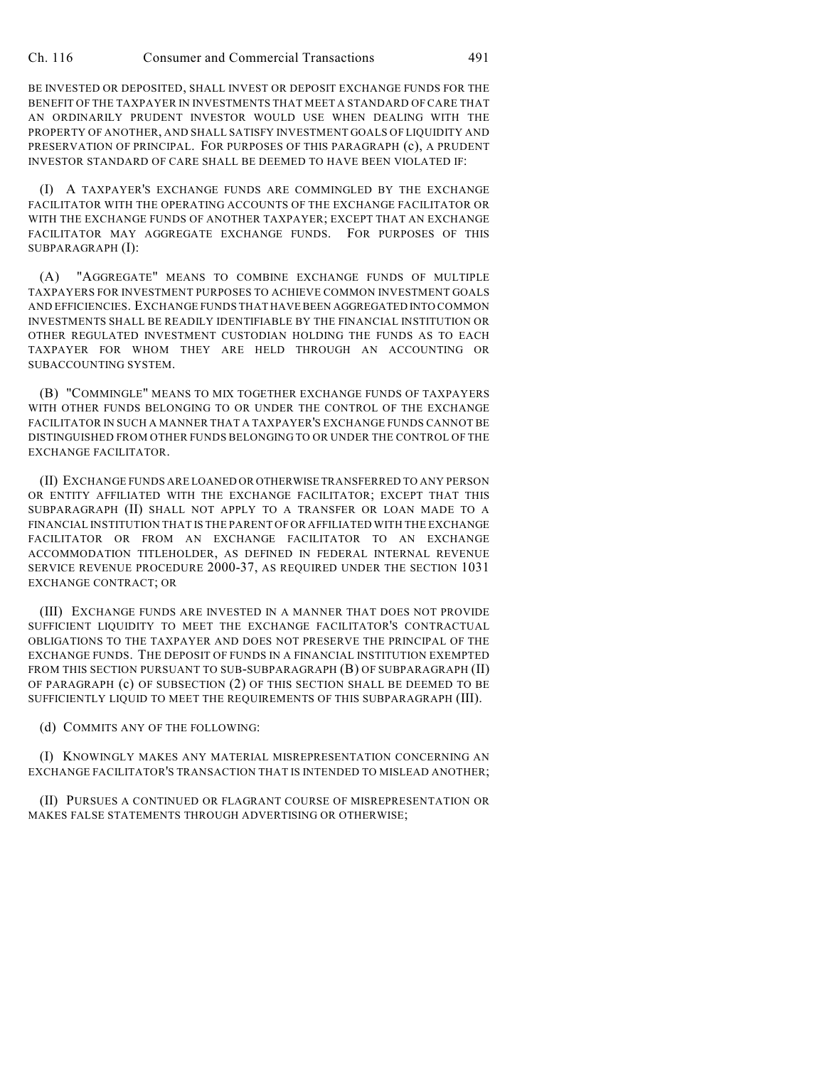BE INVESTED OR DEPOSITED, SHALL INVEST OR DEPOSIT EXCHANGE FUNDS FOR THE BENEFIT OF THE TAXPAYER IN INVESTMENTS THAT MEET A STANDARD OF CARE THAT AN ORDINARILY PRUDENT INVESTOR WOULD USE WHEN DEALING WITH THE PROPERTY OF ANOTHER, AND SHALL SATISFY INVESTMENT GOALS OF LIQUIDITY AND PRESERVATION OF PRINCIPAL. FOR PURPOSES OF THIS PARAGRAPH (c), A PRUDENT INVESTOR STANDARD OF CARE SHALL BE DEEMED TO HAVE BEEN VIOLATED IF:

(I) A TAXPAYER'S EXCHANGE FUNDS ARE COMMINGLED BY THE EXCHANGE FACILITATOR WITH THE OPERATING ACCOUNTS OF THE EXCHANGE FACILITATOR OR WITH THE EXCHANGE FUNDS OF ANOTHER TAXPAYER; EXCEPT THAT AN EXCHANGE FACILITATOR MAY AGGREGATE EXCHANGE FUNDS. FOR PURPOSES OF THIS SUBPARAGRAPH (I):

(A) "AGGREGATE" MEANS TO COMBINE EXCHANGE FUNDS OF MULTIPLE TAXPAYERS FOR INVESTMENT PURPOSES TO ACHIEVE COMMON INVESTMENT GOALS AND EFFICIENCIES. EXCHANGE FUNDS THAT HAVE BEEN AGGREGATED INTO COMMON INVESTMENTS SHALL BE READILY IDENTIFIABLE BY THE FINANCIAL INSTITUTION OR OTHER REGULATED INVESTMENT CUSTODIAN HOLDING THE FUNDS AS TO EACH TAXPAYER FOR WHOM THEY ARE HELD THROUGH AN ACCOUNTING OR SUBACCOUNTING SYSTEM.

(B) "COMMINGLE" MEANS TO MIX TOGETHER EXCHANGE FUNDS OF TAXPAYERS WITH OTHER FUNDS BELONGING TO OR UNDER THE CONTROL OF THE EXCHANGE FACILITATOR IN SUCH A MANNER THAT A TAXPAYER'S EXCHANGE FUNDS CANNOT BE DISTINGUISHED FROM OTHER FUNDS BELONGING TO OR UNDER THE CONTROL OF THE EXCHANGE FACILITATOR.

(II) EXCHANGE FUNDS ARE LOANED OR OTHERWISE TRANSFERRED TO ANY PERSON OR ENTITY AFFILIATED WITH THE EXCHANGE FACILITATOR; EXCEPT THAT THIS SUBPARAGRAPH (II) SHALL NOT APPLY TO A TRANSFER OR LOAN MADE TO A FINANCIAL INSTITUTION THAT IS THE PARENT OF OR AFFILIATED WITH THE EXCHANGE FACILITATOR OR FROM AN EXCHANGE FACILITATOR TO AN EXCHANGE ACCOMMODATION TITLEHOLDER, AS DEFINED IN FEDERAL INTERNAL REVENUE SERVICE REVENUE PROCEDURE 2000-37, AS REQUIRED UNDER THE SECTION 1031 EXCHANGE CONTRACT; OR

(III) EXCHANGE FUNDS ARE INVESTED IN A MANNER THAT DOES NOT PROVIDE SUFFICIENT LIQUIDITY TO MEET THE EXCHANGE FACILITATOR'S CONTRACTUAL OBLIGATIONS TO THE TAXPAYER AND DOES NOT PRESERVE THE PRINCIPAL OF THE EXCHANGE FUNDS. THE DEPOSIT OF FUNDS IN A FINANCIAL INSTITUTION EXEMPTED FROM THIS SECTION PURSUANT TO SUB-SUBPARAGRAPH (B) OF SUBPARAGRAPH (II) OF PARAGRAPH (c) OF SUBSECTION (2) OF THIS SECTION SHALL BE DEEMED TO BE SUFFICIENTLY LIQUID TO MEET THE REQUIREMENTS OF THIS SUBPARAGRAPH (III).

(d) COMMITS ANY OF THE FOLLOWING:

(I) KNOWINGLY MAKES ANY MATERIAL MISREPRESENTATION CONCERNING AN EXCHANGE FACILITATOR'S TRANSACTION THAT IS INTENDED TO MISLEAD ANOTHER;

(II) PURSUES A CONTINUED OR FLAGRANT COURSE OF MISREPRESENTATION OR MAKES FALSE STATEMENTS THROUGH ADVERTISING OR OTHERWISE;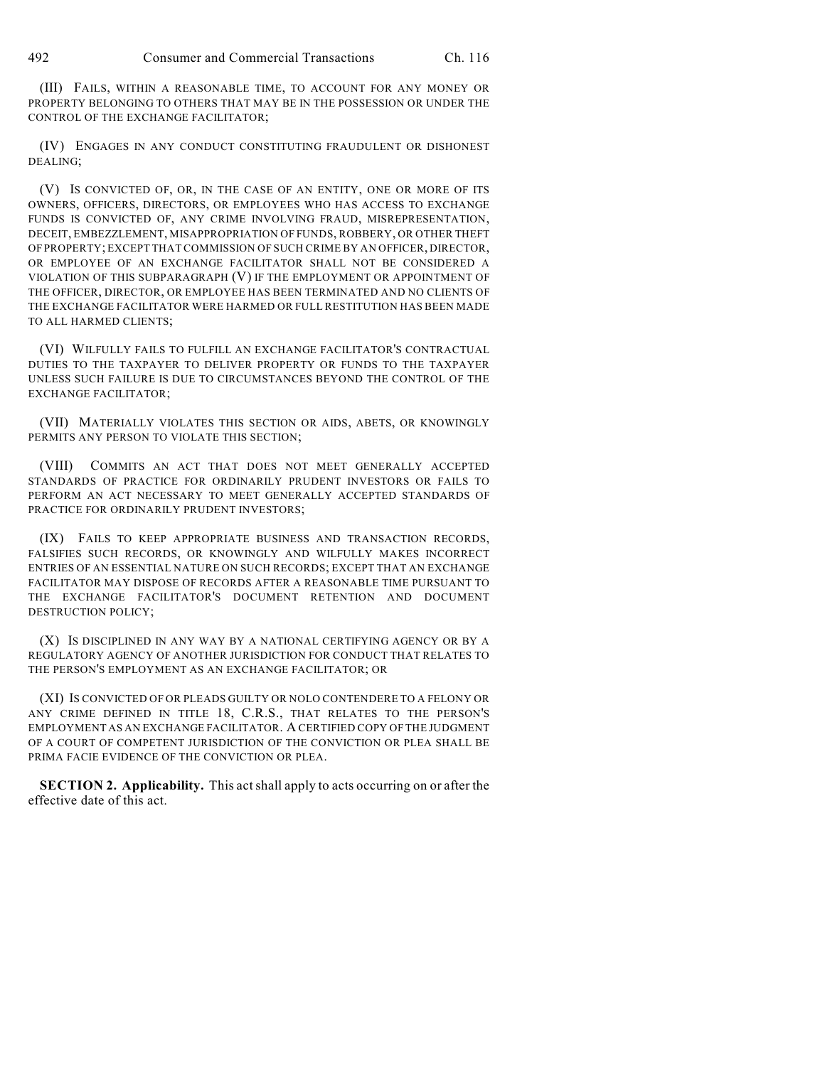(III) FAILS, WITHIN A REASONABLE TIME, TO ACCOUNT FOR ANY MONEY OR PROPERTY BELONGING TO OTHERS THAT MAY BE IN THE POSSESSION OR UNDER THE CONTROL OF THE EXCHANGE FACILITATOR;

(IV) ENGAGES IN ANY CONDUCT CONSTITUTING FRAUDULENT OR DISHONEST DEALING;

(V) IS CONVICTED OF, OR, IN THE CASE OF AN ENTITY, ONE OR MORE OF ITS OWNERS, OFFICERS, DIRECTORS, OR EMPLOYEES WHO HAS ACCESS TO EXCHANGE FUNDS IS CONVICTED OF, ANY CRIME INVOLVING FRAUD, MISREPRESENTATION, DECEIT, EMBEZZLEMENT, MISAPPROPRIATION OF FUNDS, ROBBERY, OR OTHER THEFT OF PROPERTY; EXCEPT THAT COMMISSION OF SUCH CRIME BY AN OFFICER, DIRECTOR, OR EMPLOYEE OF AN EXCHANGE FACILITATOR SHALL NOT BE CONSIDERED A VIOLATION OF THIS SUBPARAGRAPH (V) IF THE EMPLOYMENT OR APPOINTMENT OF THE OFFICER, DIRECTOR, OR EMPLOYEE HAS BEEN TERMINATED AND NO CLIENTS OF THE EXCHANGE FACILITATOR WERE HARMED OR FULL RESTITUTION HAS BEEN MADE TO ALL HARMED CLIENTS;

(VI) WILFULLY FAILS TO FULFILL AN EXCHANGE FACILITATOR'S CONTRACTUAL DUTIES TO THE TAXPAYER TO DELIVER PROPERTY OR FUNDS TO THE TAXPAYER UNLESS SUCH FAILURE IS DUE TO CIRCUMSTANCES BEYOND THE CONTROL OF THE EXCHANGE FACILITATOR;

(VII) MATERIALLY VIOLATES THIS SECTION OR AIDS, ABETS, OR KNOWINGLY PERMITS ANY PERSON TO VIOLATE THIS SECTION;

(VIII) COMMITS AN ACT THAT DOES NOT MEET GENERALLY ACCEPTED STANDARDS OF PRACTICE FOR ORDINARILY PRUDENT INVESTORS OR FAILS TO PERFORM AN ACT NECESSARY TO MEET GENERALLY ACCEPTED STANDARDS OF PRACTICE FOR ORDINARILY PRUDENT INVESTORS;

(IX) FAILS TO KEEP APPROPRIATE BUSINESS AND TRANSACTION RECORDS, FALSIFIES SUCH RECORDS, OR KNOWINGLY AND WILFULLY MAKES INCORRECT ENTRIES OF AN ESSENTIAL NATURE ON SUCH RECORDS; EXCEPT THAT AN EXCHANGE FACILITATOR MAY DISPOSE OF RECORDS AFTER A REASONABLE TIME PURSUANT TO THE EXCHANGE FACILITATOR'S DOCUMENT RETENTION AND DOCUMENT DESTRUCTION POLICY;

(X) IS DISCIPLINED IN ANY WAY BY A NATIONAL CERTIFYING AGENCY OR BY A REGULATORY AGENCY OF ANOTHER JURISDICTION FOR CONDUCT THAT RELATES TO THE PERSON'S EMPLOYMENT AS AN EXCHANGE FACILITATOR; OR

(XI) IS CONVICTED OF OR PLEADS GUILTY OR NOLO CONTENDERE TO A FELONY OR ANY CRIME DEFINED IN TITLE 18, C.R.S., THAT RELATES TO THE PERSON'S EMPLOYMENT AS AN EXCHANGE FACILITATOR. A CERTIFIED COPY OF THE JUDGMENT OF A COURT OF COMPETENT JURISDICTION OF THE CONVICTION OR PLEA SHALL BE PRIMA FACIE EVIDENCE OF THE CONVICTION OR PLEA.

**SECTION 2. Applicability.** This act shall apply to acts occurring on or after the effective date of this act.